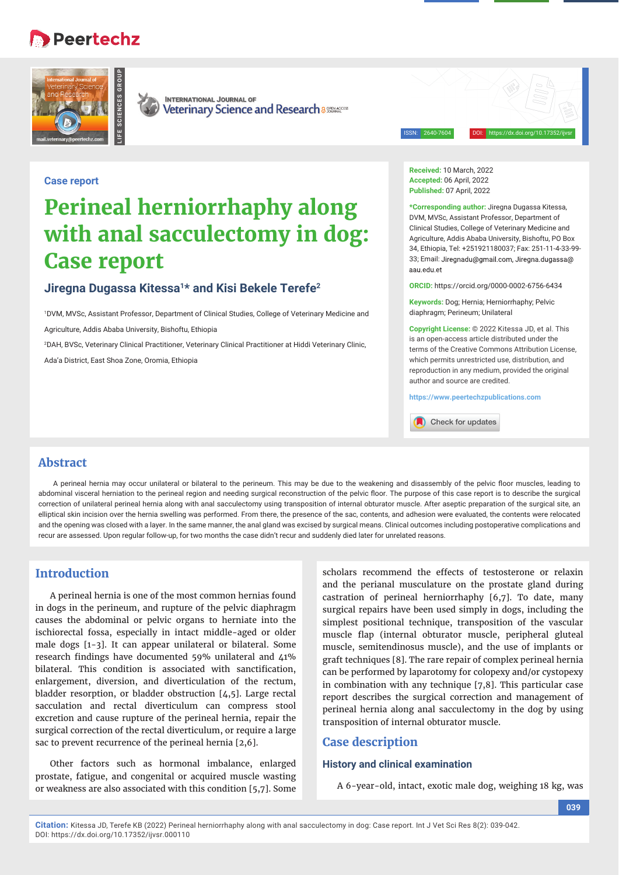## **Peertechz**





**INTERNATIONAL JOURNAL OF** Veterinary Science and Research a 886146055

ISSN: 2640-7604 DOI: https://dx.doi.org/10.17352/ijvsr

#### **Case report**

# **Perineal herniorrhaphy along with anal sacculectomy in dog: Case report**

## **Jiregna Dugassa Kitessa1\* and Kisi Bekele Terefe2**

1 DVM, MVSc, Assistant Professor, Department of Clinical Studies, College of Veterinary Medicine and Agriculture, Addis Ababa University, Bishoftu, Ethiopia

2 DAH, BVSc, Veterinary Clinical Practitioner, Veterinary Clinical Practitioner at Hiddi Veterinary Clinic,

Ada'a District, East Shoa Zone, Oromia, Ethiopia

**Received:** 10 March, 2022 **Accepted:** 06 April, 2022 **Published:** 07 April, 2022

**\*Corresponding author:** Jiregna Dugassa Kitessa, DVM, MVSc, Assistant Professor, Department of Clinical Studies, College of Veterinary Medicine and Agriculture, Addis Ababa University, Bishoftu, PO Box 34, Ethiopia, Tel: +251921180037; Fax: 251-11-4-33-99- 33; Email: Jiregnadu@gmail.com, Jiregna.dugassa@ aau edu et

**ORCID:** https://orcid.org/0000-0002-6756-6434

**Keywords:** Dog; Hernia; Herniorrhaphy; Pelvic diaphragm; Perineum; Unilateral

**Copyright License:** © 2022 Kitessa JD, et al. This is an open-access article distributed under the terms of the Creative Commons Attribution License, which permits unrestricted use, distribution, and reproduction in any medium, provided the original author and source are credited.

**https://www.peertechzpublications.com**

Check for updates

## **Abstract**

A perineal hernia may occur unilateral or bilateral to the perineum. This may be due to the weakening and disassembly of the pelvic floor muscles, leading to abdominal visceral herniation to the perineal region and needing surgical reconstruction of the pelvic floor. The purpose of this case report is to describe the surgical correction of unilateral perineal hernia along with anal sacculectomy using transposition of internal obturator muscle. After aseptic preparation of the surgical site, an elliptical skin incision over the hernia swelling was performed. From there, the presence of the sac, contents, and adhesion were evaluated, the contents were relocated and the opening was closed with a layer. In the same manner, the anal gland was excised by surgical means. Clinical outcomes including postoperative complications and recur are assessed. Upon regular follow-up, for two months the case didn't recur and suddenly died later for unrelated reasons.

## **Introduction**

A perineal hernia is one of the most common hernias found in dogs in the perineum, and rupture of the pelvic diaphragm causes the abdominal or pelvic organs to herniate into the ischiorectal fossa, especially in intact middle-aged or older male dogs [1-3]. It can appear unilateral or bilateral. Some research findings have documented 59% unilateral and  $\mu$ 1% bilateral. This condition is associated with sanctification, enlargement, diversion, and diverticulation of the rectum, bladder resorption, or bladder obstruction [4,5]. Large rectal sacculation and rectal diverticulum can compress stool excretion and cause rupture of the perineal hernia, repair the surgical correction of the rectal diverticulum, or require a large sac to prevent recurrence of the perineal hernia [2,6].

Other factors such as hormonal imbalance, enlarged prostate, fatigue, and congenital or acquired muscle wasting or weakness are also associated with this condition [5,7]. Some

scholars recommend the effects of testosterone or relaxin and the perianal musculature on the prostate gland during castration of perineal herniorrhaphy [6,7]. To date, many surgical repairs have been used simply in dogs, including the simplest positional technique, transposition of the vascular muscle flap (internal obturator muscle, peripheral gluteal muscle, semitendinosus muscle), and the use of implants or graft techniques [8]. The rare repair of complex perineal hernia can be performed by laparotomy for colopexy and/or cystopexy in combination with any technique [7,8]. This particular case report describes the surgical correction and management of perineal hernia along anal sacculectomy in the dog by using transposition of internal obturator muscle.

### **Case description**

#### **History and clinical examination**

A 6-year-old, intact, exotic male dog, weighing 18 kg, was

**Citation:** Kitessa JD, Terefe KB (2022) Perineal herniorrhaphy along with anal sacculectomy in dog: Case report. Int J Vet Sci Res 8(2): 039-042. DOI: https://dx.doi.org/10.17352/ijvsr.000110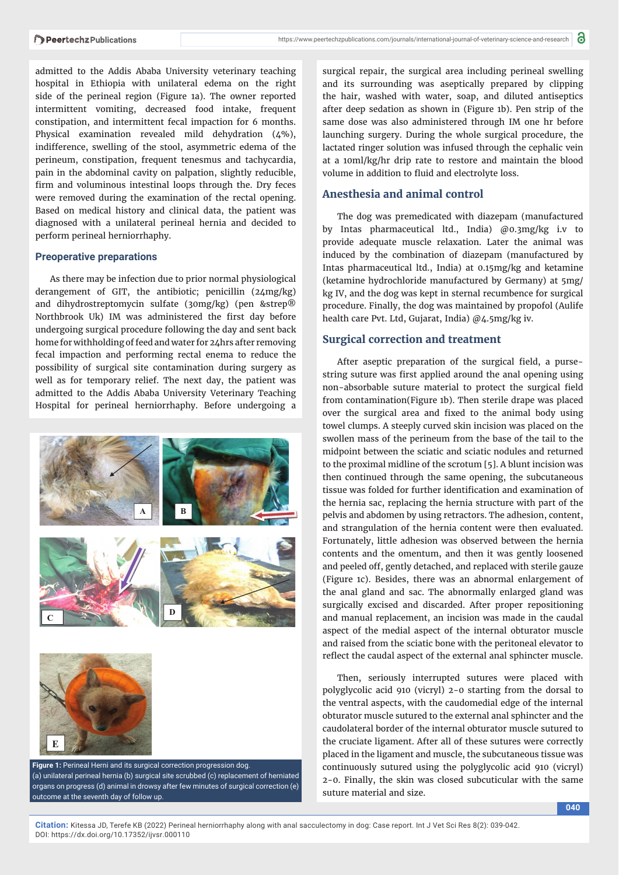admitted to the Addis Ababa University veterinary teaching hospital in Ethiopia with unilateral edema on the right side of the perineal region (Figure 1a). The owner reported intermittent vomiting, decreased food intake, frequent constipation, and intermittent fecal impaction for 6 months. Physical examination revealed mild dehydration (4%), indifference, swelling of the stool, asymmetric edema of the perineum, constipation, frequent tenesmus and tachycardia, pain in the abdominal cavity on palpation, slightly reducible, firm and voluminous intestinal loops through the. Dry feces were removed during the examination of the rectal opening. Based on medical history and clinical data, the patient was diagnosed with a unilateral perineal hernia and decided to perform perineal herniorrhaphy.

#### **Preoperative preparations**

As there may be infection due to prior normal physiological derangement of GIT, the antibiotic; penicillin (24mg/kg) and dihydrostreptomycin sulfate (30mg/kg) (pen &strep® Northbrook Uk) IM was administered the first day before undergoing surgical procedure following the day and sent back home for withholding of feed and water for 24hrs after removing fecal impaction and performing rectal enema to reduce the possibility of surgical site contamination during surgery as well as for temporary relief. The next day, the patient was admitted to the Addis Ababa University Veterinary Teaching Hospital for perineal herniorrhaphy. Before undergoing a



surgical repair, the surgical area including perineal swelling and its surrounding was aseptically prepared by clipping the hair, washed with water, soap, and diluted antiseptics after deep sedation as shown in (Figure 1b). Pen strip of the same dose was also administered through IM one hr before launching surgery. During the whole surgical procedure, the lactated ringer solution was infused through the cephalic vein at a 10ml/kg/hr drip rate to restore and maintain the blood volume in addition to fluid and electrolyte loss.

#### **Anesthesia and animal control**

The dog was premedicated with diazepam (manufactured by Intas pharmaceutical ltd., India) @0.3mg/kg i.v to provide adequate muscle relaxation. Later the animal was induced by the combination of diazepam (manufactured by Intas pharmaceutical ltd., India) at 0.15mg/kg and ketamine (ketamine hydrochloride manufactured by Germany) at 5mg/ kg IV, and the dog was kept in sternal recumbence for surgical procedure. Finally, the dog was maintained by propofol (Aulife health care Pvt. Ltd, Gujarat, India) @4.5mg/kg iv.

#### **Surgical correction and treatment**

After aseptic preparation of the surgical field, a pursestring suture was first applied around the anal opening using non-absorbable suture material to protect the surgical field from contamination(Figure 1b). Then sterile drape was placed over the surgical area and fixed to the animal body using towel clumps. A steeply curved skin incision was placed on the swollen mass of the perineum from the base of the tail to the midpoint between the sciatic and sciatic nodules and returned to the proximal midline of the scrotum [5]. A blunt incision was then continued through the same opening, the subcutaneous tissue was folded for further identification and examination of the hernia sac, replacing the hernia structure with part of the pelvis and abdomen by using retractors. The adhesion, content, and strangulation of the hernia content were then evaluated. Fortunately, little adhesion was observed between the hernia contents and the omentum, and then it was gently loosened and peeled off, gently detached, and replaced with sterile gauze (Figure 1c). Besides, there was an abnormal enlargement of the anal gland and sac. The abnormally enlarged gland was surgically excised and discarded. After proper repositioning and manual replacement, an incision was made in the caudal aspect of the medial aspect of the internal obturator muscle and raised from the sciatic bone with the peritoneal elevator to reflect the caudal aspect of the external anal sphincter muscle.

Then, seriously interrupted sutures were placed with polyglycolic acid 910 (vicryl) 2-0 starting from the dorsal to the ventral aspects, with the caudomedial edge of the internal obturator muscle sutured to the external anal sphincter and the caudolateral border of the internal obturator muscle sutured to the cruciate ligament. After all of these sutures were correctly placed in the ligament and muscle, the subcutaneous tissue was continuously sutured using the polyglycolic acid 910 (vicryl) 2-0. Finally, the skin was closed subcuticular with the same suture material and size.

**Citation:** Kitessa JD, Terefe KB (2022) Perineal herniorrhaphy along with anal sacculectomy in dog: Case report. Int J Vet Sci Res 8(2): 039-042. DOI: https://dx.doi.org/10.17352/ijvsr.000110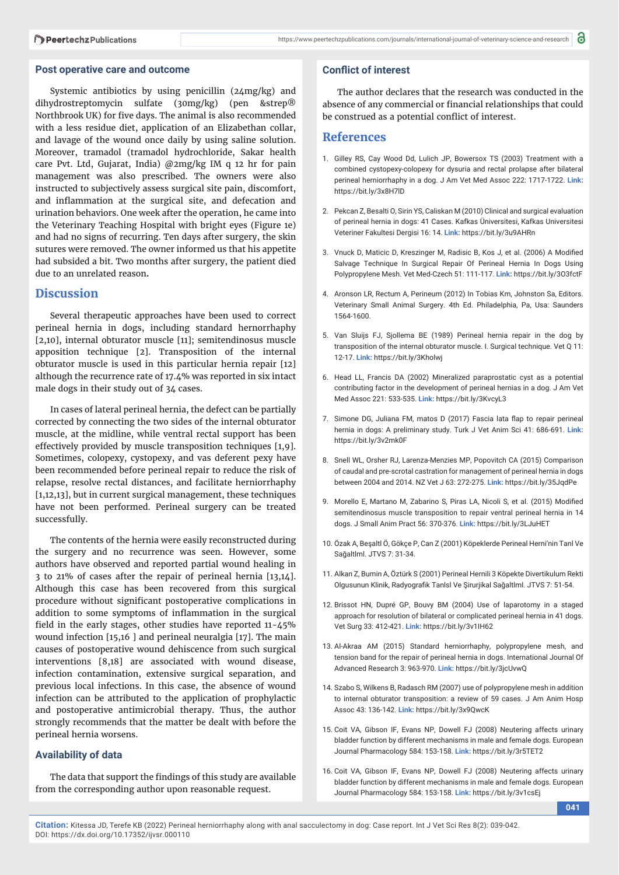#### **Post operative care and outcome**

Systemic antibiotics by using penicillin (24mg/kg) and dihydrostreptomycin sulfate (30mg/kg) (pen &strep® Northbrook UK) for five days. The animal is also recommended with a less residue diet, application of an Elizabethan collar, and lavage of the wound once daily by using saline solution. Moreover, tramadol (tramadol hydrochloride, Sakar health care Pvt. Ltd, Gujarat, India) @2mg/kg IM q 12 hr for pain management was also prescribed. The owners were also instructed to subjectively assess surgical site pain, discomfort, and inflammation at the surgical site, and defecation and urination behaviors. One week after the operation, he came into the Veterinary Teaching Hospital with bright eyes (Figure 1e) and had no signs of recurring. Ten days after surgery, the skin sutures were removed. The owner informed us that his appetite had subsided a bit. Two months after surgery, the patient died due to an unrelated reason**.**

#### **Discussion**

Several therapeutic approaches have been used to correct perineal hernia in dogs, including standard hernorrhaphy [2,10], internal obturator muscle [11]; semitendinosus muscle apposition technique [2]. Transposition of the internal obturator muscle is used in this particular hernia repair [12] although the recurrence rate of 17.4% was reported in six intact male dogs in their study out of 34 cases.

In cases of lateral perineal hernia, the defect can be partially corrected by connecting the two sides of the internal obturator muscle, at the midline, while ventral rectal support has been effectively provided by muscle transposition techniques [1,9]. Sometimes, colopexy, cystopexy, and vas deferent pexy have been recommended before perineal repair to reduce the risk of relapse, resolve rectal distances, and facilitate herniorrhaphy [1,12,13], but in current surgical management, these techniques have not been performed. Perineal surgery can be treated successfully.

The contents of the hernia were easily reconstructed during the surgery and no recurrence was seen. However, some authors have observed and reported partial wound healing in 3 to 21% of cases after the repair of perineal hernia [13,14]. Although this case has been recovered from this surgical procedure without significant postoperative complications in addition to some symptoms of inflammation in the surgical field in the early stages, other studies have reported  $11-45%$ wound infection [15,16 ] and perineal neuralgia [17]. The main causes of postoperative wound dehiscence from such surgical interventions [8,18] are associated with wound disease, infection contamination, extensive surgical separation, and previous local infections. In this case, the absence of wound infection can be attributed to the application of prophylactic and postoperative antimicrobial therapy. Thus, the author strongly recommends that the matter be dealt with before the perineal hernia worsens.

#### **Availability of data**

The data that support the findings of this study are available from the corresponding author upon reasonable request.

#### **Conflict of interest**

The author declares that the research was conducted in the absence of any commercial or financial relationships that could be construed as a potential conflict of interest.

#### **References**

- 1. Gilley RS, Cay Wood Dd, Lulich JP, Bowersox TS (2003) Treatment with a combined cystopexy-colopexy for dysuria and rectal prolapse after bilateral perineal herniorrhaphy in a dog. J Am Vet Med Assoc 222: 1717-1722. **Link:** https://bit.ly/3x8H7lD
- 2. Pekcan Z, Besalti O, Sirin YS, Caliskan M (2010) Clinical and surgical evaluation of perineal hernia in dogs: 41 Cases. Kafkas Üniversitesi, Kafkas Universitesi Veteriner Fakultesi Dergisi 16: 14. **Link:** https://bit.ly/3u9AHRn
- 3. Vnuck D, Maticic D, Kreszinger M, Radisic B, Kos J, et al. (2006) A Modified Salvage Technique In Surgical Repair Of Perineal Hernia In Dogs Using Polypropylene Mesh. Vet Med-Czech 51: 111-117. **Link:** https://bit.ly/3O3fctF
- 4. Aronson LR, Rectum A, Perineum (2012) In Tobias Km, Johnston Sa, Editors. Veterinary Small Animal Surgery. 4th Ed. Philadelphia, Pa, Usa: Saunders 1564-1600.
- 5. Van Sluijs FJ, Sjollema BE (1989) Perineal hernia repair in the dog by transposition of the internal obturator muscle. I. Surgical technique. Vet Q 11: 12-17. **Link:** https://bit.ly/3Kholwj
- 6. Head LL, Francis DA (2002) Mineralized paraprostatic cyst as a potential contributing factor in the development of perineal hernias in a dog. J Am Vet Med Assoc 221: 533-535. **Link:** https://bit.ly/3KvcyL3
- 7. Simone DG, Juliana FM, matos D (2017) Fascia lata flap to repair perineal hernia in dogs: A preliminary study. Turk J Vet Anim Sci 41: 686-691. **Link:** https://bit.ly/3v2mk0F
- 8. Snell WL, Orsher RJ, Larenza-Menzies MP, Popovitch CA (2015) Comparison of caudal and pre-scrotal castration for management of perineal hernia in dogs between 2004 and 2014. NZ Vet J 63: 272-275. **Link:** https://bit.ly/35JqdPe
- 9. Morello E, Martano M, Zabarino S, Piras LA, Nicoli S, et al. (2015) Modified semitendinosus muscle transposition to repair ventral perineal hernia in 14 dogs. J Small Anim Pract 56: 370-376. **Link:** https://bit.ly/3LJuHET
- 10. Özak A, Beşaltl Ö, Gökçe P, Can Z (2001) Köpeklerde Perineal Herni'nin Tanl Ve Sağaltlml. JTVS 7: 31-34.
- 11. Alkan Z, Bumin A, Öztürk S (2001) Perineal Hernili 3 Köpekte Divertikulum Rekti Olgusunun Klinik, Radyografik Tanlsl Ve Şirurjikal Sağaltlml. JTVS 7: 51-54.
- 12. Brissot HN, Dupré GP, Bouvy BM (2004) Use of laparotomy in a staged approach for resolution of bilateral or complicated perineal hernia in 41 dogs. Vet Surg 33: 412-421. **Link:** https://bit.ly/3v1IH62
- 13. Al-Akraa AM (2015) Standard herniorrhaphy, polypropylene mesh, and tension band for the repair of perineal hernia in dogs. International Journal Of Advanced Research 3: 963-970. **Link:** https://bit.ly/3jcUvwQ
- 14. Szabo S, Wilkens B, Radasch RM (2007) use of polypropylene mesh in addition to internal obturator transposition: a review of 59 cases. J Am Anim Hosp Assoc 43: 136-142. **Link:** https://bit.ly/3x9QwcK
- 15. Coit VA, Gibson IF, Evans NP, Dowell FJ (2008) Neutering affects urinary bladder function by different mechanisms in male and female dogs. European Journal Pharmacology 584: 153-158. **Link:** https://bit.ly/3r5TET2
- 16. Coit VA, Gibson IF, Evans NP, Dowell FJ (2008) Neutering affects urinary bladder function by different mechanisms in male and female dogs. European Journal Pharmacology 584: 153-158. **Link:** https://bit.ly/3v1csEj

**041**